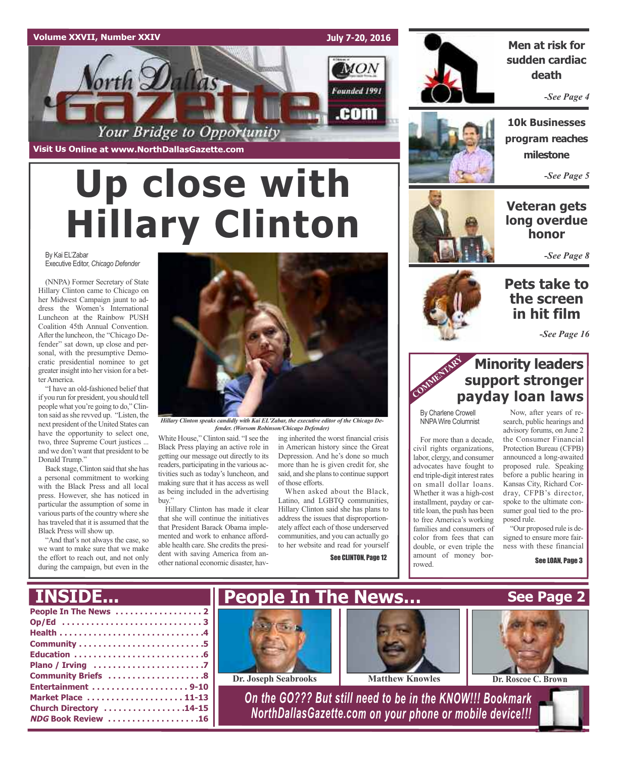### **Volume XXVII, Number XXIV**

### **July 7-20, 2016**

**MON** 

Founded 1991

.com



### **Men at risk for sudden cardiac death**

*-See Page 4*

**10k Businesses program reaches milestone**

*-See Page 5*

### **Veteran gets long overdue honor**

*-See Page 8*

### **Pets take to the screen in hit film**

*-See Page 16*

## **Minority leaders support stronger payday loan laws**

By Charlene Crowell NNPAWire Columnist

**COMM** 

For more than a decade, civil rights organizations, labor, clergy, and consumer advocates have fought to end triple-digit interest rates on small dollar loans. Whether it was a high-cost installment, payday or cartitle loan, the push has been to free America's working families and consumers of color from fees that can double, or even triple the amount of money borrowed.

search, public hearings and advisory forums, on June 2 the Consumer Financial Protection Bureau (CFPB) announced a long-awaited proposed rule. Speaking before a public hearing in Kansas City, Richard Cordray, CFPB's director, spoke to the ultimate consumer goal tied to the pro-

"Our proposed rule is de-

# **Up close with Hillary Clinton**

Your Bridge to Opportunity

**Visit Us Online at www.NorthDallasGazette.com**

orth Dallas

By Kai EL'Zabar Executive Editor, *Chicago Defender*

(NNPA) Former Secretary of State Hillary Clinton came to Chicago on her Midwest Campaign jaunt to address the Women's International Luncheon at the Rainbow PUSH Coalition 45th Annual Convention. After the luncheon, the "Chicago Defender" sat down, up close and personal, with the presumptive Democratic presidential nominee to get greater insight into her vision for a better America.

"I have an old-fashioned belief that if you run for president, you should tell people what you're going to do,"Clinton said asshe revved up. "Listen, the next president of the United States can have the opportunity to select one, two, three Supreme Court justices ... and we don't want that president to be Donald Trump."

Back stage, Clinton said that she has a personal commitment to working with the Black Press and all local press. However, she has noticed in particular the assumption of some in various parts of the country where she has traveled that it is assumed that the Black Press will show up.

"And that's not always the case, so we want to make sure that we make the effort to reach out, and not only during the campaign, but even in the



*Hillary Clinton speaks candidly with Kai EL'Zabar, the executive editor of the Chicago Defender. (Worsom Robinson/Chicago Defender)*

White House,"Clinton said. "Isee the Black Press playing an active role in getting our message out directly to its readers, participating in the various activities such as today's luncheon, and making sure that it has access as well as being included in the advertising buv.'

Hillary Clinton has made it clear that she will continue the initiatives that President Barack Obama implemented and work to enhance affordable health care. She credits the president with saving America from another national economic disaster, having inherited the worst financial crisis in American history since the Great Depression. And he's done so much more than he is given credit for, she said, and she plans to continue support of those efforts.

When asked about the Black, Latino, and LGBTQ communities, Hillary Clinton said she has plans to address the issues that disproportionately affect each of those underserved communities, and you can actually go to her website and read for yourself

See CLINTON, Page 12



Now, after years of re-

posed rule.

signed to ensure more fairness with these financial

See LOAN, Page 3

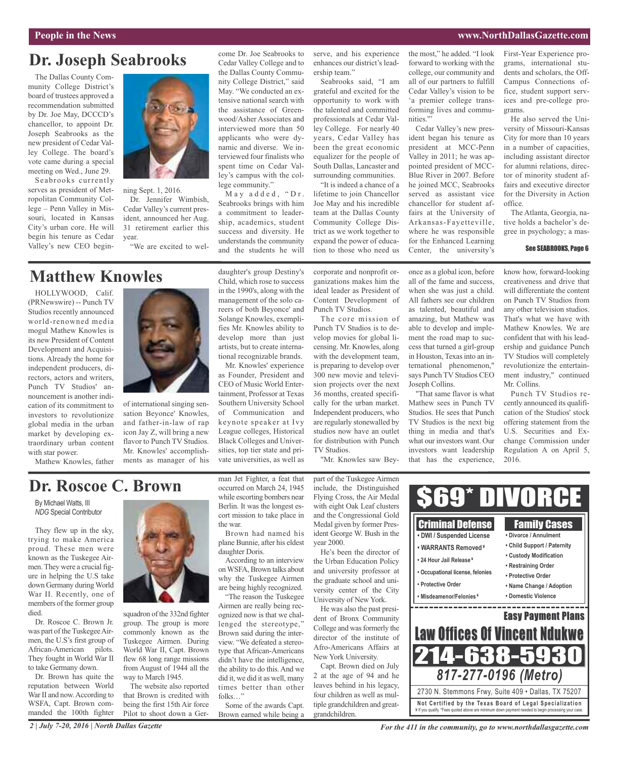### **People in the News www.NorthDallasGazette.com**

## **Dr. Joseph Seabrooks**

The Dallas County Community College District's board of trustees approved a recommendation submitted by Dr. Joe May, DCCCD's chancellor, to appoint Dr. Joseph Seabrooks as the new president of Cedar Valley College. The board's vote came during a special meeting on Wed., June 29.

Seabrooks currently serves as president of Metropolitan Community College – Penn Valley in Missouri, located in Kansas City's urban core. He will begin his tenure as Cedar Valley's new CEO begin-



ning Sept. 1, 2016. Dr. Jennifer Wimbish, Cedar Valley's current president, announced her Aug. 31 retirement earlier this year. "We are excited to wel-

## **Matthew Knowles**

HOLLYWOOD, Calif. (PRNewswire) -- Punch TV Studios recently announced world-renowned media mogul Mathew Knowles is its new President of Content Development and Acquisitions. Already the home for independent producers, directors, actors and writers, Punch TV Studios' announcement is another indication of its commitment to investors to revolutionize global media in the urban market by developing extraordinary urban content with star power.

Mathew Knowles, father



of international singing sensation Beyonce' Knowles, and father-in-law of rap icon Jay Z, will bring a new flavor to Punch TV Studios. Mr. Knowles' accomplishments as manager of his daughter's group Destiny's Child, which rose to success in the 1990's, along with the management of the solo careers of both Beyonce' and Solange Knowles, exemplifies Mr. Knowles ability to develop more than just artists, but to create international recognizable brands.

come Dr. Joe Seabrooks to Cedar Valley College and to the Dallas County Community College District," said May. "We conducted an extensive national search with the assistance of Greenwood/Asher Associates and interviewed more than 50 applicants who were dynamic and diverse. We interviewed four finalists who spent time on Cedar Valley's campus with the col-

lege community."

May added, "Dr. Seabrooks brings with him a commitment to leadership, academics, student success and diversity. He understands the community and the students he will

Mr. Knowles' experience as Founder, President and CEO of Music World Entertainment, Professor at Texas Southern University School of Communication and keynote speaker at Ivy League colleges, Historical Black Colleges and Universities, top tier state and private universities, as well as

serve, and his experience enhances our district's leadership team."

Seabrooks said, "I am grateful and excited for the opportunity to work with the talented and committed professionals at Cedar Valley College. For nearly 40 years, Cedar Valley has been the great economic equalizer for the people of South Dallas, Lancaster and surrounding communities. "It is indeed a chance of a

lifetime to join Chancellor Joe May and his incredible team at the Dallas County Community College District as we work together to expand the power of education to those who need us

corporate and nonprofit organizations makes him the ideal leader as President of Content Development of Punch TV Studios.

The core mission of Punch TV Studios is to develop movies for global licensing. Mr. Knowles, along with the development team, is preparing to develop over 300 new movie and television projects over the next 36 months, created specifically for the urban market. Independent producers, who are regularly stonewalled by studios now have an outlet for distribution with Punch TV Studios.

"Mr. Knowles saw Bey-

the most," he added. "I look forward to working with the college, our community and all of our partners to fulfill Cedar Valley's vision to be 'a premier college transforming lives and communities."

Cedar Valley's new president began his tenure as president at MCC-Penn Valley in 2011; he was appointed president of MCC-Blue River in 2007. Before he joined MCC, Seabrooks served as assistant vice chancellor for student affairs at the University of Arkansas-Fayetteville, where he was responsible for the Enhanced Learning Center, the university's

once as a global icon, before all of the fame and success, when she was just a child. All fathers see our children as talented, beautiful and amazing, but Mathew was able to develop and implement the road map to success that turned a girl-group in Houston, Texas into an international phenomenon," says Punch TV Studios CEO

Joseph Collins.

"That same flavor is what Mathew sees in Punch TV Studios. He sees that Punch TV Studios is the next big thing in media and that's what our investors want. Our investors want leadership that has the experience, First-Year Experience programs, international students and scholars, the Off-Campus Connections office, student support services and pre-college programs.

He also served the University of Missouri-Kansas City for more than 10 years in a number of capacities, including assistant director for alumni relations, director of minority student affairs and executive director for the Diversity in Action office.

The Atlanta, Georgia, native holds a bachelor's degree in psychology; a mas-

### See SEABROOKS, Page 6

know how, forward-looking creativeness and drive that will differentiate the content on Punch TV Studios from any other television studios. That's what we have with Mathew Knowles. We are confident that with his leadership and guidance Punch TV Studios will completely revolutionize the entertainment industry," continued Mr. Collins.

Punch TV Studios recently announced its qualification of the Studios' stock offering statement from the U.S. Securities and Exchange Commission under Regulation A on April 5, 2016.

## **Dr. Roscoe C. Brown**

By Michael Watts, III *NDG* Special Contributor

They flew up in the sky, trying to make America proud. These men were known as the Tuskegee Airmen.They were a crucial figure in helping the U.S take down Germany duringWorld War II. Recently, one of members of the former group died.

Dr. Roscoe C. Brown Jr. was part of the Tuskegee Airmen, the U.S's first group of African-American pilots. They fought in World War II to take Germany down.

Dr. Brown has quite the reputation between World War II and now. According to WSFA, Capt. Brown commanded the 100th fighter



squadron of the 332nd fighter group. The group is more commonly known as the Tuskegee Airmen. During World War II, Capt. Brown flew 68 long range missions from August of 1944 all the way to March 1945.

The website also reported that Brown is credited with being the first 15th Air force Pilot to shoot down a German Jet Fighter, a feat that occurred on March 24, 1945 while escorting bombers near Berlin. It was the longest escort mission to take place in the war.

Brown had named his plane Bunnie, after his eldest daughter Doris.

According to an interview onWSFA, Brown talks about why the Tuskegee Airmen are being highly recognized.

"The reason the Tuskegee Airmen are really being recognized now is that we challenged the stereotype," Brown said during the interview. "We defeated a stereotype that African-Americans didn't have the intelligence, the ability to do this. And we did it, we did it as well, many times better than other folks…"

Some of the awards Capt. Brown earned while being a

part of the Tuskegee Airmen include, the Distinguished Flying Cross, the Air Medal with eight Oak Leaf clusters and the Congressional Gold Medal given by former President George W. Bush in the year 2000.

He's been the director of the Urban Education Policy and university professor at the graduate school and university center of the City University of New York.

He was also the past president of Bronx Community College and was formerly the director of the institute of Afro-Americans Affairs at New York University.

Capt. Brown died on July 2 at the age of 94 and he leaves behind in his legacy, four children as well as multiple grandchildren and greatgrandchildren.



*For the 411 in the community, go to www.northdallasgazette.com*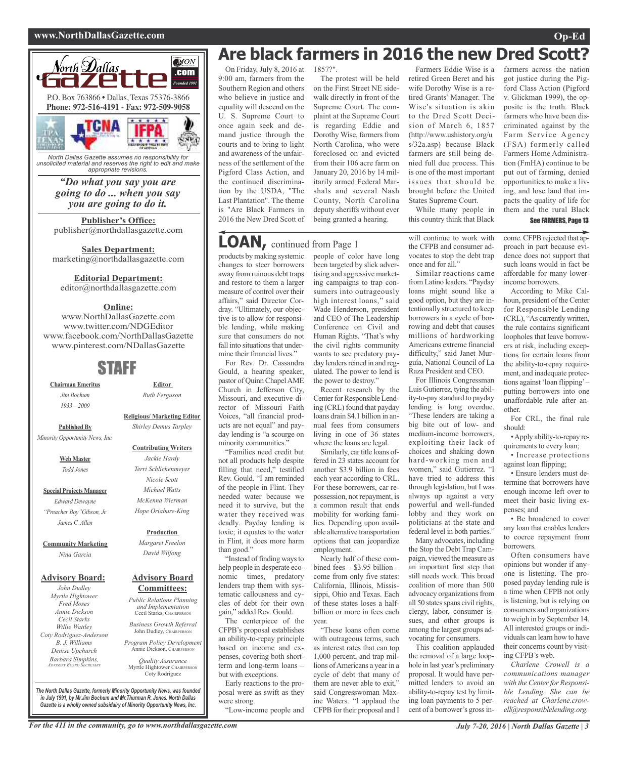### **www.NorthDallasGazette.com Op-Ed**



*North Dallas Gazette assumes no responsibility for unsolicited material and reserves the right to edit and make appropriate revisions.*

### *"Do what you say you are going to do ... when you say you are going to do it.*

**Publisher's Office:** publisher@northdallasgazette.com

**Sales Department:** marketing@northdallasgazette.com

### **Editorial Department:**

editor@northdallasgazette.com

### **Online:**

www.NorthDallasGazette.com www.twitter.com/NDGEditor www.facebook.com/NorthDallasGazette www.pinterest.com/NDallasGazette

### STAFF

**Chairman Emeritus** *Jim Bochum 1933 – 2009*

**Religious/ Marketing Editor** *Shirley Demus Tarpley*

> **Contributing Writers** *Jackie Hardy Terri Schlichenmeyer Nicole Scott Michael Watts McKenna Wierman Hope Oriabure-King*

**Editor** *Ruth Ferguson*

**Published By** *Minority Opportunity News, Inc.*

> **Web Master** *Todd Jones*

**Special Projects Manager** *Edward Dewayne "Preacher Boy"Gibson, Jr. James C. Allen*

**Community Marketing**

*Nina Garcia*

### **Advisory Board:**

*John Dudley Myrtle Hightower Fred Moses Annie Dickson Cecil Starks Willie Wattley Coty Rodriguez-Anderson B. J. Williams Denise Upchurch Barbara Simpkins, ADVISORY BOARD SECRETARY*

**Production** *Margaret Freelon David Wilfong*

### **Advisory Board Committees:**

*Public Relations Planning and Implementation* Cecil Starks, CHAIRPERSON

*Business Growth Referral* John Dudley, CHAIRPERSON

*Program Policy Development* Annie Dickson, CHAIRPER

*Quality Assurance* Myrtle Hightower, CHAIRPERSON Coty Rodriguez

**Are black farmers in 2016 the new Dred Scott?**

On Friday, July 8, 2016 at 9:00 am, farmers from the Southern Region and others who believe in justice and equality will descend on the U. S. Supreme Court to once again seek and demand justice through the courts and to bring to light and awareness of the unfairness of the settlement of the Pigford Class Action, and the continued discrimination by the USDA, "The Last Plantation". The theme is "Are Black Farmers in 2016 the New Dred Scott of

1857?". The protest will be held on the First Street NE sidewalk directly in front of the Supreme Court. The complaint at the Supreme Court is regarding Eddie and Dorothy Wise, farmers from North Carolina, who were foreclosed on and evicted from their 106 acre farm on January 20, 2016 by 14 militarily armed Federal Marshals and several Nash County, North Carolina deputy sheriffs without ever being granted a hearing.

## **LOAN,** continued from Page <sup>1</sup>

products by making systemic changes to steer borrowers away from ruinous debt traps and restore to them a larger measure of control over their affairs," said Director Cordray. "Ultimately, our objective is to allow for responsible lending, while making sure that consumers do not fall into situations that undermine their financial lives."

For Rev. Dr. Cassandra Gould, a hearing speaker, pastor of QuinnChapelAME Church in Jefferson City, Missouri, and executive director of Missouri Faith Voices, "all financial products are not equal" and payday lending is "a scourge on minority communities."

"Families need credit but not all products help despite filling that need," testified Rev. Gould. "I am reminded of the people in Flint. They needed water because we need it to survive, but the water they received was deadly. Payday lending is toxic; it equates to the water in Flint, it does more harm than good."

"Instead of finding ways to help people in desperate economic times, predatory lenders trap them with systematic callousness and cycles of debt for their own gain," added Rev. Gould.

The centerpiece of the CFPB's proposal establishes an ability-to-repay principle based on income and expenses, covering both shortterm and long-term loans – but with exceptions.

Early reactions to the proposal were as swift as they were strong.

"Low-income people and

people of color have long been targeted by slick advertising and aggressive marketing campaigns to trap consumers into outrageously high interest loans," said Wade Henderson, president and CEO of The Leadership Conference on Civil and Human Rights. "That's why the civil rights community wants to see predatory payday lenders reined in and regulated. The power to lend is the power to destroy.'

Recent research by the Center for Responsible Lending (CRL) found that payday loans drain \$4.1 billion in annual fees from consumers living in one of 36 states where the loans are legal.

Similarly, car title loans offered in 23 states account for another \$3.9 billion in fees each year according to CRL. For these borrowers, car repossession, not repayment, is a common result that ends mobility for working families. Depending upon available alternative transportation options that can jeopardize employment.

Nearly half of these combined fees – \$3.95 billion – come from only five states: California, Illinois, Mississippi, Ohio and Texas. Each of these states loses a halfbillion or more in fees each year.

"These loans often come with outrageous terms, such as interest rates that can top 1,000 percent, and trap millions ofAmericans a year in a cycle of debt that many of them are never able to exit," said Congresswoman Maxine Waters. "I applaud the CFPB for their proposal and I

Farmers Eddie Wise is a retired Green Beret and his wife Dorothy Wise is a retired Grants' Manager. The Wise's situation is akin to the Dred Scott Decision of March 6, 1857 (http://www.ushistory.org/u s/32a.asp) because Black farmers are still being denied full due process. This is one of the most important issues that should be brought before the United States Supreme Court.

While many people in this country think that Black

will continue to work with the CFPB and consumer advocates to stop the debt trap once and for all."

Similar reactions came from Latino leaders. "Payday loans might sound like a good option, but they are intentionally structured to keep borrowers in a cycle of borrowing and debt that causes millions of hardworking Americans extreme financial difficulty," said Janet Murguía, National Council of La Raza President and CEO.

For Illinois Congressman Luis Gutierrez, tying the ability-to-pay standard to payday lending is long overdue. "These lenders are taking a big bite out of low- and medium-income borrowers, exploiting their lack of choices and shaking down hard-working men and women," said Gutierrez. "I have tried to address this through legislation, but I was always up against a very powerful and well-funded lobby and they work on politicians at the state and federal level in both parties."

Many advocates, including the Stop the Debt Trap Campaign, viewed the measure as an important first step that still needs work. This broad coalition of more than 500 advocacy organizations from all 50 states spans civil rights, clergy, labor, consumer issues, and other groups is among the largest groups advocating for consumers.

This coalition applauded the removal of a large loophole in last year's preliminary proposal. It would have permitted lenders to avoid an ability-to-repay test by limiting loan payments to 5 percent of a borrower's gross in-

farmers across the nation got justice during the Pigford Class Action (Pigford v. Glickman 1999), the opposite is the truth. Black farmers who have been discriminated against by the Farm Service Agency (FSA) formerly called Farmers Home Administration (FmHA) continue to be put out of farming, denied opportunities to make a living, and lose land that impacts the quality of life for them and the rural Black

### See FARMERS, Page 13

come. CFPB rejected that approach in part because evidence does not support that such loans would in fact be affordable for many lowerincome borrowers.

According to Mike Calhoun, president of the Center for Responsible Lending (CRL), "As currently written, the rule contains significant loopholes that leave borrowers at risk, including exceptions for certain loans from the ability-to-repay requirement, and inadequate protections against 'loan flipping'– putting borrowers into one unaffordable rule after another.

For CRL, the final rule should:

•Apply ability-to-repay requirements to every loan;

• Increase protections against loan flipping;

• Ensure lenders must determine that borrowers have enough income left over to meet their basic living expenses; and

• Be broadened to cover any loan that enables lenders to coerce repayment from borrowers.

Often consumers have opinions but wonder if anyone is listening. The proposed payday lending rule is a time when CFPB not only is listening, but is relying on consumers and organizations to weigh in by September 14. All interested groups or individuals can learn how to have their concerns count by visiting CFPB's web.

*Charlene Crowell is a communications manager*  $with the Center for Responsibility$ *ble Lending. She can be reached at Charlene.crowell@responsiblelending.org.*

*The North Dallas Gazette, formerly Minority Opportunity News, was founded in July 1991, by Mr.Jim Bochum and Mr.Thurman R. Jones. North Dallas Gazette is a wholly owned subsidairy of Minority Opportunity News, Inc.*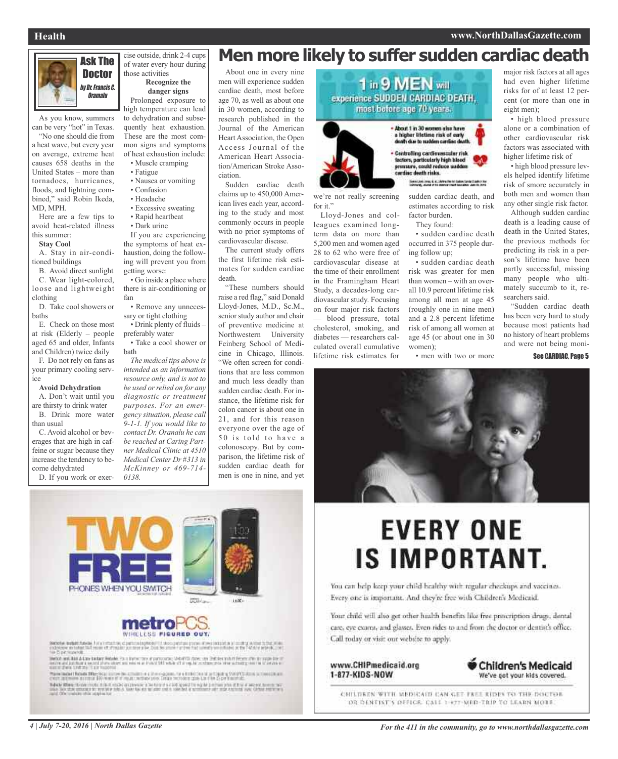### **Health www.NorthDallasGazette.com**



As you know, summers

can be very "hot" in Texas. "No one should die from

a heat wave, but every year on average, extreme heat causes 658 deaths in the United States – more than tornadoes, hurricanes, floods, and lightning combined," said Robin Ikeda, MD, MPH.

Here are a few tips to avoid heat-related illness this summer:

#### **Stay Cool**

A. Stay in air-conditioned buildings

B. Avoid direct sunlight C. Wear light-colored, loose and lightweight clothing

D. Take cool showers or baths

E. Check on those most at risk (Elderly – people aged 65 and older, Infants and Children) twice daily

F. Do not rely on fans as your primary cooling service

### **Avoid Dehydration**

A. Don't wait until you are thirsty to drink water B. Drink more water than usual

C. Avoid alcohol or beverages that are high in caffeine or sugar because they increase the tendency to become dehydrated

D. If you work or exer-

### cise outside, drink 2-4 cups of water every hour during those activities **Recognize the**

**danger signs** Prolonged exposure to

high temperature can lead to dehydration and subsequently heat exhaustion. These are the most common signs and symptoms of heat exhaustion include: • Muscle cramping

- Fatigue
- 
- Nausea or vomiting • Confusion
- Headache
- 
- Excessive sweating • Rapid heartbeat
- Dark urine

If you are experiencing the symptoms of heat exhaustion, doing the following will prevent you from getting worse:

• Go inside a place where there is air-conditioning or fan

• Remove any unnecessary or tight clothing

• Drink plenty of fluids – preferably water

• Take a cool shower or bath

*The medical tips above is intended as an information resource only, and is not to be used orrelied on for any diagnostic or treatment purposes. For an emergency situation, please call 9-1-1. If you would like to contact Dr. Oranalu he can be reached at Caring Partner Medical Clinic at 4510 Medical Center Dr #313 in McKinney or 469-714- 0138.*

## **Ask The Constant arger argery hour during Men more likely to suffer sudden cardiac death**

About one in every nine men will experience sudden cardiac death, most before age 70, as well as about one in 30 women, according to research published in the Journal of the American Heart Association, the Open Access Journal of the American Heart Association/American Stroke Association.

Sudden cardiac death claims up to 450,000 American lives each year, according to the study and most commonly occurs in people with no prior symptoms of cardiovascular disease.

The current study offers the first lifetime risk estimates for sudden cardiac death.

"These numbers should raise a red flag," said Donald Lloyd-Jones, M.D., Sc.M., senior study author and chair of preventive medicine at Northwestern University Feinberg School of Medicine in Chicago, Illinois. "We often screen for conditions that are less common and much less deadly than sudden cardiac death. For instance, the lifetime risk for colon cancer is about one in 21, and for this reason everyone over the age of 50 is told to have a colonoscopy. But by comparison, the lifetime risk of sudden cardiac death for men is one in nine, and yet



we're not really screening

Lloyd-Jones and colleagues examined longterm data on more than 5,200 men and women aged 28 to 62 who were free of cardiovascular disease at the time of their enrollment in the Framingham Heart Study, a decades-long cardiovascular study. Focusing on four major risk factors — blood pressure, total cholesterol, smoking, and diabetes — researchers calculated overall cumulative lifetime risk estimates for

for it."

th due to sudden cardiac d • Centrolling cardiovascular risk<br>factors, particularly high blood

(see Live love, it is three form halos Senicite<br>converg, some into assets that too shot tan

sudden cardiac death, and estimates according to risk factor burden.

They found:

• sudden cardiac death occurred in 375 people during follow up;

• sudden cardiac death risk was greater for men than women – with an overall 10.9 percent lifetime risk among all men at age 45 (roughly one in nine men) and a 2.8 percent lifetime risk of among all women at age 45 (or about one in 30 women);

• men with two or more

had even higher lifetime risks for of at least 12 percent (or more than one in eight men);

• high blood pressure alone or a combination of other cardiovascular risk factors was associated with

• high blood pressure levels helped identify lifetime risk of smore accurately in both men and women than any other single risk factor.

Although sudden cardiac death is a leading cause of death in the United States, the previous methods for predicting its risk in a person's lifetime have been partly successful, missing many people who ultimately succumb to it, researchers said.

"Sudden cardiac death has been very hard to study because most patients had no history of heart problems and were not being moni-

See CARDIAC, Page 5





### metro WINELESS FIGURED OUT.

Sender Industrial Auto Linux (memory class) CON INTERNATIONAL IN THE REAL PARTIES IN THE REAL PROPERTY OF THE REAL PROPERTY OF THE REAL PROPERTY OF THE REAL PROPERTY.<br>The contract of the contract of the property of the contract of the contract of the contract of the indrease en tutur.<br>Se Dipermizendo

liefet est hat Athe beteg Hebels its styrk ten af percurse, World Tabel up its international power and a popular of<br>International and the second war and an entire and was the started of a regular colour power advantagement These backet former filter (e.g.) in the decomment of a three spaces, has a training of an input of the country sizes in consideration.<br>Chart and prove straining \$50 mode of at regard perfect prior forms recruiting and the

Topoly Office; the contracts in the Control of Controls in the total discrete to regular pressure that if the Control and the Control and the Control and the Control and the Control and the Control and the Control and the

## **EVERY ONE IS IMPORTANT.**

You can help keep your child healthy with regular checkups and vaccines. Every one is important. And they're free with Children's Medicaid.

Your child will also get other health benefits like free prescription drugs, dental care, eye exams, and glasses. Even rides to and from the doctor or dentist's office. Call today or visit our website to apply.

www.CHIPmedicaid.org 1-877-KIDS-NOW



CHILDREN WITH MEDICAIN CAN GET FREE RIDES TO THE DOCTOR. DR DENTIST'S DEFICE. CALL 1-477-MED-TRIP TO LEARN MORE.

major risk factors at all ages

higher lifetime risk of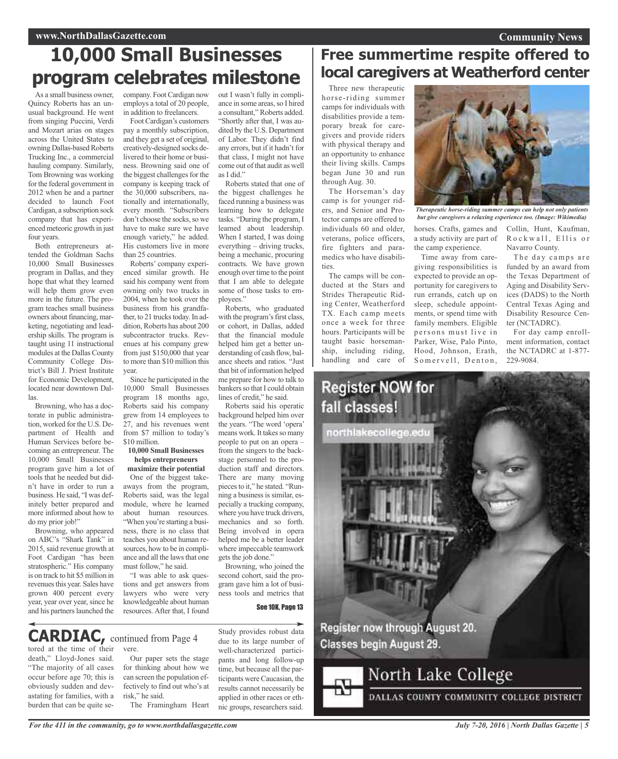## **10,000 Small Businesses program celebrates milestone**

As a small business owner, Quincy Roberts has an unusual background. He went from singing Puccini, Verdi and Mozart arias on stages across the United States to owning Dallas-based Roberts Trucking Inc., a commercial hauling company. Similarly, Tom Browning was working for the federal government in 2012 when he and a partner decided to launch Foot Cardigan, a subscription sock company that has experienced meteoric growth in just four years.

Both entrepreneurs attended the Goldman Sachs 10,000 Small Businesses program in Dallas, and they hope that what they learned will help them grow even more in the future. The program teaches small business owners about financing, marketing, negotiating and leadership skills. The program is taught using 11 instructional modules at the Dallas County Community College District's Bill J. Priest Institute for Economic Development, located near downtown Dallas.

Browning, who has a doctorate in public administration, worked for the U.S. Department of Health and Human Services before becoming an entrepreneur. The 10,000 Small Businesses program gave him a lot of tools that he needed but didn't have in order to run a business. He said, "I was definitely better prepared and more informed about how to do my prior job!"

Browning, who appeared on ABC's "Shark Tank" in 2015, said revenue growth at Foot Cardigan "has been stratospheric." His company is on track to hit \$5 million in revenues this year. Sales have grown 400 percent every year, year over year, since he and his partners launched the

company. Foot Cardigan now employs a total of 20 people, in addition to freelancers.

Foot Cardigan's customers pay a monthly subscription, and they get a set of original, creatively-designed socks delivered to their home or business. Browning said one of the biggest challenges for the company is keeping track of the 30,000 subscribers, nationally and internationally, every month. "Subscribers don't choose the socks, so we have to make sure we have enough variety," he added. His customers live in more than 25 countries.

Roberts' company experienced similar growth. He said his company went from owning only two trucks in 2004, when he took over the business from his grandfather, to 21 trucks today. In addition, Roberts has about 200 subcontractor trucks. Revenues at his company grew from just \$150,000 that year to more than \$10 million this year.

Since he participated in the 10,000 Small Businesses program 18 months ago, Roberts said his company grew from 14 employees to 27, and his revenues went from \$7 million to today's \$10 million.

#### **10,000 Small Businesses helps entrepreneurs maximize their potential**

One of the biggest takeaways from the program, Roberts said, was the legal module, where he learned about human resources. "When you're starting a business, there is no class that teaches you about human resources, how to be in compliance and all the lawsthat one must follow," he said.

"I was able to ask questions and get answers from lawyers who were very knowledgeable about human resources. After that, I found

out I wasn't fully in compliance in some areas, so I hired a consultant," Roberts added. "Shortly after that, I was audited by the U.S. Department of Labor. They didn't find any errors, but if it hadn't for that class, I might not have come out of that audit as well as I did."

Roberts stated that one of the biggest challenges he faced running a business was learning how to delegate tasks. "During the program, I learned about leadership. When I started, I was doing everything – driving trucks, being a mechanic, procuring contracts. We have grown enough over time to the point that I am able to delegate some of those tasks to employees."

Roberts, who graduated with the program's first class, or cohort, in Dallas, added that the financial module helped him get a better understanding of cash flow, balance sheets and ratios. "Just that bit of information helped me prepare for how to talk to bankers so that I could obtain lines of credit," he said.

Roberts said his operatic background helped him over the years. "The word 'opera' means work. It takes so many people to put on an opera – from the singers to the backstage personnel to the production staff and directors. There are many moving pieces to it." he stated. "Running a business is similar, especially a trucking company, where you have truck drivers, mechanics and so forth. Being involved in opera helped me be a better leader where impeccable teamwork gets the job done."

Browning, who joined the second cohort, said the program gave him a lot of business tools and metrics that

See 10K, Page 13

#### tored at the time of their vere. **CARDIAC,** continued from Page <sup>4</sup>

death," Lloyd-Jones said. "The majority of all cases occur before age 70; this is obviously sudden and devastating for families, with a burden that can be quite se-

Our paper sets the stage for thinking about how we can screen the population effectively to find out who's at risk," he said. The Framingham Heart

Study provides robust data due to its large number of well-characterized participants and long follow-up time, but because all the participants were Caucasian, the results cannot necessarily be applied in other races or ethnic groups, researchers said.

## **Free summertime respite offered to local caregivers at Weatherford center**

Three new therapeutic horse-riding summer camps for individuals with disabilities provide a temporary break for caregivers and provide riders with physical therapy and an opportunity to enhance their living skills. Camps began June 30 and run through Aug. 30.

The Horseman's day camp is for younger riders, and Senior and Protector camps are offered to individuals 60 and older, veterans, police officers, fire fighters and paramedics who have disabilities.

The camps will be conducted at the Stars and Strides Therapeutic Riding Center, Weatherford TX. Each camp meets once a week for three hours. Participants will be taught basic horsemanship, including riding, handling and care of



*Therapeutic horse-riding summer camps can help not only patients but give caregivers a relaxing experience too. (Image: Wikimedia)*

horses. Crafts, games and a study activity are part of the camp experience.

Time away from caregiving responsibilities is expected to provide an opportunity for caregivers to run errands, catch up on sleep, schedule appointments, or spend time with family members. Eligible persons must live in Parker, Wise, Palo Pinto, Hood, Johnson, Erath, Somervell, Denton,

Collin, Hunt, Kaufman, Rockwall, Ellis or Navarro County.

The day camps are funded by an award from the Texas Department of Aging and Disability Services (DADS) to the North Central Texas Aging and Disability Resource Center (NCTADRC).

For day camp enrollment information, contact the NCTADRC at 1-877- 229-9084.



DALLAS COUNTY COMMUNITY COLLEGE DISTRICT

*For the 411 in the community, go to www.northdallasgazette.com*

*July 7-20, 2016 | North Dallas Gazette | 5*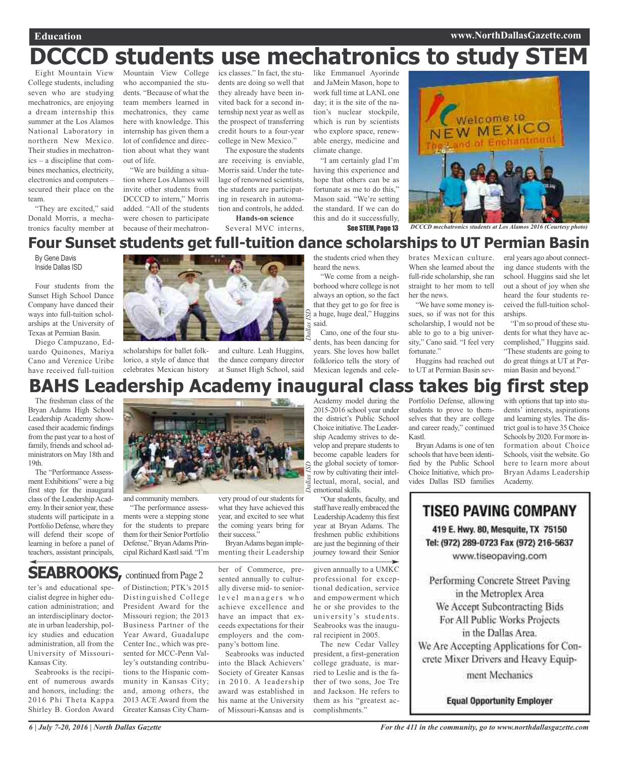## **DCCCD students use mechatronics to study STEM**

Eight Mountain View College students, including seven who are studying mechatronics, are enjoying a dream internship this summer at the Los Alamos National Laboratory in northern New Mexico. Their studies in mechatronics – a discipline that combines mechanics, electricity, electronics and computers – secured their place on the team.

"They are excited," said Donald Morris, a mechatronics faculty member at

Mountain View College who accompanied the students. "Because of what the team members learned in mechatronics, they came here with knowledge. This internship has given them a lot of confidence and direction about what they want out of life.

"We are building a situation where Los Alamos will invite other students from DCCCD to intern," Morris added. "All of the students were chosen to participate because of their mechatronics classes." In fact, the students are doing so well that they already have been invited back for a second internship next year as well as the prospect of transferring credit hours to a four-year college in New Mexico."

The exposure the students are receiving is enviable, Morris said. Under the tutelage of renowned scientists, the students are participating in research in automation and controls, he added. **Hands-on science**

Several MVC interns,

like Emmanuel Ayorinde and JaMein Mason, hope to work full time at LANL one day; it is the site of the nation's nuclear stockpile, which is run by scientists who explore space, renewable energy, medicine and climate change.

"I am certainly glad I'm having this experience and hope that others can be as fortunate as me to do this," Mason said. "We're setting the standard. If we can do this and do it successfully,



**See STEM, Page 13** DCCCD mechatronics students at Los Alamos 2016 (Courtesy photo)

## **Four Sunset students get full-tuition dance scholarships to UT Permian Basin**

By Gene Davis Inside Dallas ISD

Four students from the Sunset High School Dance Company have danced their ways into full-tuition scholarships at the University of Texas at Permian Basin.

Diego Campuzano, Eduardo Quinones, Mariya Cano and Verenice Uribe have received full-tuition



scholarships for ballet folklorico, a style of dance that celebrates Mexican history

and culture. Leah Huggins, the dance company director at Sunset High School, said

the students cried when they heard the news.

"We come from a neighborhood where college is not always an option, so the fact that they get to go for free is a huge, huge deal," Huggins said.

Cano, one of the four students, has been dancing for years. She loves how ballet folklorico tells the story of Mexican legends and cele-*Dallas ISD*

brates Mexican culture. When she learned about the full-ride scholarship, she ran straight to her mom to tell her the news.

"We have some money issues, so if was not for this scholarship, I would not be able to go to a big university," Cano said. "I feel very fortunate."

Huggins had reached out to UT at Permian Basin several years ago about connecting dance students with the school. Huggins said she let out a shout of joy when she heard the four students received the full-tuition scholarships.

"I'm so proud of these students for what they have accomplished," Huggins said. "These students are going to do great things at UT at Permian Basin and beyond."

## **BAHS Leadership Academy inaugural class takes big first step**

The freshman class of the Bryan Adams High School Leadership Academy showcased their academic findings from the past year to a host of family, friends and school administrators on May 18th and 19th.

The "Performance Assessment Exhibitions" were a big first step for the inaugural class of the Leadership Academy. In their senior year, these students will participate in a Portfolio Defense, where they will defend their scope of learning in before a panel of teachers, assistant principals,

ter's and educational specialist degree in higher education administration; and an interdisciplinary doctorate in urban leadership, policy studies and education administration, all from the University of Missouri-

Seabrooks is the recipient of numerous awards and honors, including: the 2016 Phi Theta Kappa Shirley B. Gordon Award

Kansas City.



and community members.

"The performance assessments were a stepping stone for the students to prepare them for their Senior Portfolio Defense," Bryan Adams Principal Richard Kastl said. "I'm very proud of our students for what they have achieved this year, and excited to see what the coming years bring for their success."

Bryan Adams began implementing their Leadership

ber of Commerce, presented annually to culturally diverse mid- to seniorlevel managers who achieve excellence and have an impact that exceeds expectations for their employers and the company's bottom line.

> Seabrooks was inducted into the Black Achievers' Society of Greater Kansas in 2010. A leadership award was established in his name at the University of Missouri-Kansas and is

Academy model during the 2015-2016 school year under the district's Public School Choice initiative.TheLeadership Academy strives to develop and prepare students to become capable leaders for the global society of tomorrow by cultivating their intellectual, moral, social, and emotional skills.

"Our students, faculty, and staff have really embraced the Leadership Academy this first year at Bryan Adams. The freshmen public exhibitions are just the beginning of their journey toward their Senior

given annually to a UMKC professional for exceptional dedication, service and empowerment which he or she provides to the university's students. Seabrooks was the inaugural recipient in 2005.

The new Cedar Valley president, a first-generation college graduate, is married to Leslie and is the father of two sons, Joe Tre and Jackson. He refers to them as his "greatest accomplishments."

Portfolio Defense, allowing students to prove to themselves that they are college and career ready," continued Kastl.

Bryan Adams is one of ten schools that have been identified by the Public School Choice Initiative, which provides Dallas ISD families

with options that tap into students' interests, aspirations and learning styles. The district goal is to have 35 Choice Schools by 2020. For more information about Choice Schools, visit the website. Go here to learn more about Bryan Adams Leadership Academy.

**TISEO PAVING COMPANY** 419 E. Hwy. 80, Mesquite, TX 75150 Tel: (972) 289-0723 Fax (972) 216-5637

www.tiseopaving.com

Performing Concrete Street Paving in the Metroplex Area We Accept Subcontracting Bids For All Public Works Projects in the Dallas Area. We Are Accepting Applications for Concrete Mixer Drivers and Heavy Equip-

ment Mechanics

**Equal Opportunity Employer** 

of Distinction; PTK's 2015 Distinguished College President Award for the Missouri region; the 2013 Business Partner of the Year Award, Guadalupe Center Inc., which was presented for MCC-Penn Valley's outstanding contributions to the Hispanic community in Kansas City; and, among others, the 2013 ACE Award from the Greater Kansas City Cham-**SEABROOKS, continued from Page 2**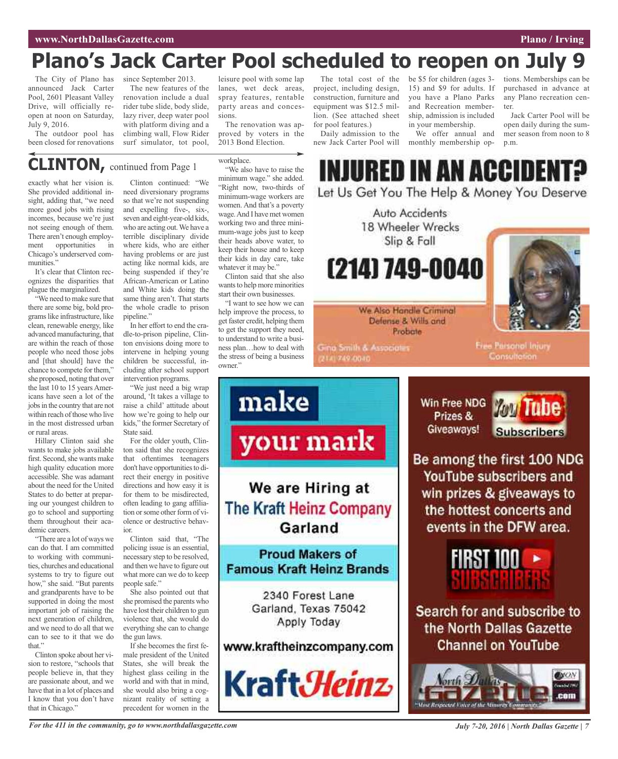## **Plano's Jack Carter Pool scheduled to reopen on July 9**

The City of Plano has since September 2013. announced Jack Carter Pool, 2601 Pleasant Valley Drive, will officially reopen at noon on Saturday, July 9, 2016.

The outdoor pool has been closed for renovations

The new features of the renovation include a dual rider tube slide, body slide, lazy river, deep water pool with platform diving and a climbing wall, Flow Rider surf simulator, tot pool,

leisure pool with some lap lanes, wet deck areas, spray features, rentable party areas and concessions.

The renovation was approved by voters in the 2013 Bond Election.

workplace.

**CLINTON,** continued from Page <sup>1</sup>

exactly what her vision is. She provided additional insight, adding that, "we need more good jobs with rising incomes, because we're just not seeing enough of them. There aren't enough employment opportunities in Chicago's underserved communities."

It's clear that Clinton recognizes the disparities that plague the marginalized.

"We need to make sure that there are some big, bold programslike infrastructure, like clean, renewable energy, like advanced manufacturing, that are within the reach of those people who need those jobs and [that should] have the chance to compete for them," she proposed, noting that over the last 10 to 15 years Americans have seen a lot of the jobs in the country that are not within reach of those who live in the most distressed urban or rural areas.

Hillary Clinton said she wants to make jobs available first. Second, she wants make high quality education more accessible. She was adamant about the need for the United States to do better at preparing our youngest children to go to school and supporting them throughout their academic careers.

"There are a lot of ways we can do that. I am committed to working with communities, churches and educational systems to try to figure out how," she said. "But parents and grandparents have to be supported in doing the most important job of raising the next generation of children, and we need to do all that we can to see to it that we do that."

Clinton spoke about her vision to restore, "schools that people believe in, that they are passionate about, and we have that in a lot of places and I know that you don't have that in Chicago."

Clinton continued: "We need diversionary programs so that we're not suspending and expelling five-, six-, seven and eight-year-old kids, who are acting out.We have a terrible disciplinary divide where kids, who are either having problems or are just acting like normal kids, are being suspended if they're African-American or Latino and White kids doing the same thing aren't. That starts the whole cradle to prison pipeline."

In her effort to end the cradle-to-prison pipeline, Clinton envisions doing more to intervene in helping young children be successful, including after school support intervention programs.

"We just need a big wrap around, 'It takes a village to raise a child' attitude about how we're going to help our kids," the former Secretary of State said.

For the older youth, Clinton said that she recognizes that oftentimes teenagers don't have opportunities to direct their energy in positive directions and how easy it is for them to be misdirected, often leading to gang affiliation or some other form of violence or destructive behavior.

Clinton said that, "The policing issue is an essential, necessary step to be resolved, and then we have to figure out what more can we do to keep people safe."

She also pointed out that she promised the parents who have lost their children to gun violence that, she would do everything she can to change the gun laws.

If she becomes the first female president of the United States, she will break the highest glass ceiling in the world and with that in mind, she would also bring a cognizant reality of setting a precedent for women in the

"We also have to raise the minimum wage." she added. "Right now, two-thirds of minimum-wage workers are women. And that's a poverty wage.And I have met women working two and three minimum-wage jobs just to keep their heads above water, to keep their house and to keep their kids in day care, take whatever it may be."

Clinton said that she also wants to help more minorities start their own businesses.

"I want to see how we can help improve the process, to get faster credit, helping them to get the support they need, to understand to write a business plan…how to deal with the stress of being a business owner."

make

your mark

We are Hiring at

**The Kraft Heinz Company** 

Garland

**Proud Makers of** 

**Famous Kraft Heinz Brands** 

2340 Forest Lane Garland, Texas 75042

Apply Today

www.kraftheinzcompany.com

Kraft*Heinz* 

The total cost of the project, including design, construction, furniture and equipment was \$12.5 million. (See attached sheet for pool features.)

Daily admission to the new Jack Carter Pool will be \$5 for children (ages 3- 15) and \$9 for adults. If you have a Plano Parks and Recreation membership, admission is included in your membership.

We offer annual and monthly membership options. Memberships can be purchased in advance at any Plano recreation center.

Jack Carter Pool will be open daily during the summer season from noon to 8 p.m.

INJURED IN AN ACCIDENT?

Let Us Get You The Help & Money You Deserve



**Gina Smith & Associates** 2141749-0040

**Free Parsonol Injury** Consultation.

Win Free NDG Prizes & Giveaways!



Be among the first 100 NDG YouTube subscribers and win prizes & giveaways to the hottest concerts and events in the DFW area.



Search for and subscribe to the North Dallas Gazette **Channel on YouTube** 

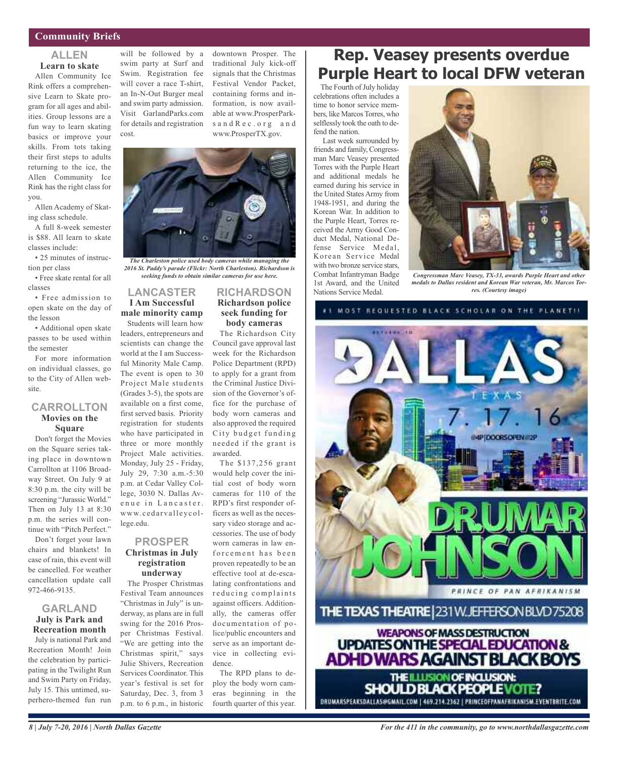### **Community Briefs**

### **ALLEN Learn to skate**

Allen Community Ice Rink offers a comprehensive Learn to Skate program for all ages and abilities. Group lessons are a fun way to learn skating basics or improve your skills. From tots taking their first steps to adults returning to the ice, the Allen Community Ice Rink has the right class for you.

Allen Academy of Skating class schedule.

A full 8-week semester is \$88. All learn to skate classes include:

• 25 minutes of instruction per class

• Free skate rental for all classes

• Free admission to open skate on the day of the lesson

• Additional open skate passes to be used within the semester

For more information on individual classes, go to the City of Allen website.

### **CARROLLTON Movies on the Square**

Don't forget the Movies on the Square series taking place in downtown Carrollton at 1106 Broadway Street. On July 9 at 8:30 p.m. the city will be screening "Jurassic World." Then on July 13 at 8:30 p.m. the series will continue with "Pitch Perfect."

Don't forget your lawn chairs and blankets! In case of rain, this event will be cancelled. For weather cancellation update call 972-466-9135.

### **GARLAND July is Park and Recreation month**

July is national Park and Recreation Month! Join the celebration by participating in the Twilight Run and Swim Party on Friday, July 15. This untimed, superhero-themed fun run

will be followed by a swim party at Surf and Swim. Registration fee will cover a race T-shirt, an In-N-Out Burger meal and swim party admission. Visit GarlandParks.com for details and registration cost.

downtown Prosper. The traditional July kick-off signals that the Christmas Festival Vendor Packet, containing forms and information, is now available at www.ProsperParksand Rec. org and www.ProsperTX.gov.



*The Charleston police used body cameras while managing the 2016 St. Paddy's parade (Flickr: North Charleston). Richardson is seeking funds to obtain similar cameras for use here.*

### **LANCASTER I Am Successful male minority camp** Students will learn how

leaders, entrepreneurs and scientists can change the world at the I am Successful Minority Male Camp. The event is open to 30 Project Male students (Grades 3-5), the spots are available on a first come, first served basis. Priority registration for students who have participated in three or more monthly Project Male activities. Monday, July 25 - Friday, July 29, 7:30 a.m.-5:30 p.m. at Cedar Valley College, 3030 N. Dallas Avenue in Lancaster. www. c eda rva ll eycollege.edu.

### **PROSPER Christmas in July registration underway**

The Prosper Christmas Festival Team announces "Christmas in July" is underway, as plans are in full swing for the 2016 Prosper Christmas Festival. "We are getting into the Christmas spirit," says Julie Shivers, Recreation Services Coordinator. This year's festival is set for Saturday, Dec. 3, from 3 p.m. to 6 p.m., in historic

### **RICHARDSON Richardson police seek funding for body cameras**

The Richardson City Council gave approval last week for the Richardson Police Department (RPD) to apply for a grant from the Criminal Justice Division of the Governor's office for the purchase of body worn cameras and also approved the required City budget funding needed if the grant is awarded.

The \$137,256 grant would help cover the initial cost of body worn cameras for 110 of the RPD's first responder officers as well as the necessary video storage and accessories. The use of body worn cameras in law enforcement has been proven repeatedly to be an effective tool at de-escalating confrontations and reducing complaints against officers. Additionally, the cameras offer documentation of police/public encounters and serve as an important device in collecting evidence.

The RPD plans to deploy the body worn cameras beginning in the fourth quarter of this year.

## **Rep. Veasey presents overdue Purple Heart to local DFW veteran**

The Fourth of July holiday celebrations often includes a time to honor service members, like MarcosTorres, who selflessly took the oath to defend the nation.

Last week surrounded by friends and family, Congressman Marc Veasey presented Torres with the Purple Heart and additional medals he earned during his service in the United States Army from 1948-1951, and during the Korean War. In addition to the Purple Heart, Torres received the Army Good Conduct Medal, National Defense Service Medal, Korean Service Medal with two bronze service stars, Combat Infantryman Badge 1st Award, and the United Nations Service Medal.



*Congressman Marc Veasey, TX-33, awards Purple Heart and other medals to Dallas resident and Korean War veteran, Mr. Marcos Torres. (Courtesy image)*

MOST REQUESTED BLACK SCHOLAR ON THE PLANETII



DRUMARSPEAKSDALLAS@GMAIL.COM | 469.214.2362 | PRINCEOFPANAFRIKANISM.EVENTBRITE.COM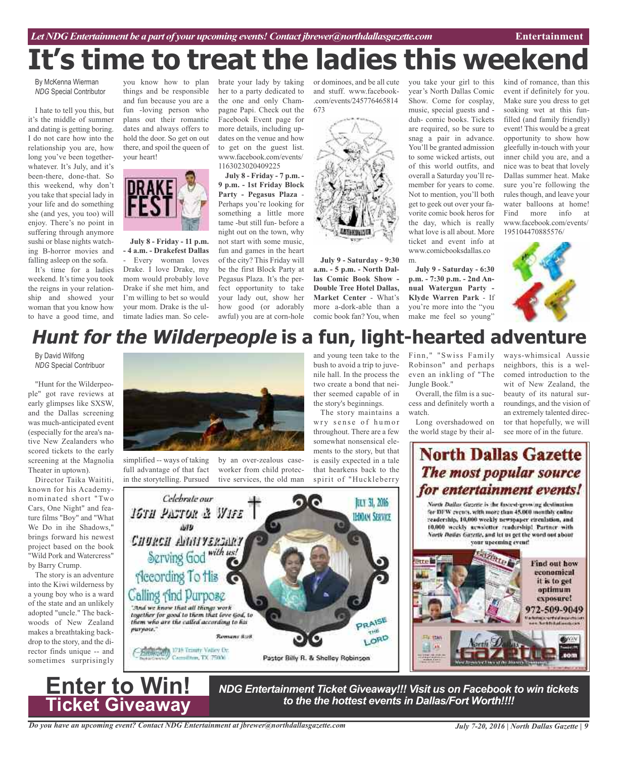### *Let NDG Entertainment be a part of your upcoming events!Contact jbrewer@northdallasgazette.com* **Entertainment**

# **It's time to treat the ladies this weeken**

By McKenna Wierman *NDG* Special Contributor

I hate to tell you this, but it's the middle of summer and dating is getting boring. I do not care how into the relationship you are, how long you've been togetherwhatever. It's July, and it's been-there, done-that. So this weekend, why don't you take that special lady in your life and do something she (and yes, you too) will enjoy. There's no point in suffering through anymore sushi or blase nights watching B-horror movies and falling asleep on the sofa.

It's time for a ladies weekend. It's time you took the reigns in your relationship and showed your woman that you know how to have a good time, and

you know how to plan things and be responsible and fun because you are a fun -loving person who plans out their romantic dates and always offers to hold the door. So get on out there, and spoil the queen of your heart!



**July 8 - Friday - 11 p.m. - 4 a.m. - Drakefest Dallas**

- Every woman loves Drake. I love Drake, my mom would probably love Drake if she met him, and I'm willing to bet so would your mom. Drake is the ultimate ladies man. So celebrate your lady by taking her to a party dedicated to the one and only Champagne Papi. Check out the Facebook Event page for more details, including updates on the venue and how to get on the guest list. www.facebook.com/events/ 1163023020409225

**July 8 - Friday - 7 p.m. - 9 p.m. - 1st Friday Block Party - Pegasus Plaza** - Perhaps you're looking for something a little more tame -but still fun- before a night out on the town, why not start with some music, fun and games in the heart of the city? This Friday will be the first Block Party at Pegasus Plaza. It's the perfect opportunity to take your lady out, show her how good (or adorably awful) you are at corn-hole

or dominoes, and be all cute and stuff. www.facebook- .com/events/245776465814



**July 9 - Saturday - 9:30 a.m. - 5 p.m. - North Dallas Comic Book Show - Double Tree Hotel Dallas, Market Center** - What's more a-dork-able than a comic book fan? You, when you take your girl to this year's North Dallas Comic Show. Come for cosplay, music, special guests and duh- comic books. Tickets are required, so be sure to snag a pair in advance. You'll be granted admission to some wicked artists, out of this world outfits, and overall a Saturday you'll remember for years to come. Not to mention, you'll both get to geek out over your favorite comic book heros for the day, which is really what love is all about. More ticket and event info at www.comicbooksdallas.co m.

**July 9 - Saturday - 6:30 p.m. - 7:30 p.m. - 2nd Annual Watergun Party - Klyde Warren Park** - If you're more into the "you make me feel so young"

kind of romance, than this event if definitely for you. Make sure you dress to get soaking wet at this funfilled (and family friendly) event! This would be a great opportunity to show how gleefully in-touch with your inner child you are, and a nice was to beat that lovely Dallas summer heat. Make sure you're following the rules though, and leave your water balloons at home! Find more info at www.facebook.com/events/ 195104470885576/



## **Hunt for the Wilderpeople is a fun, light-hearted adventure**

By David Wilfong *NDG* Special Contribuor

"Hunt for the Wilderpeople" got rave reviews at early glimpses like SXSW, and the Dallas screening was much-anticipated event (especially for the area's native New Zealanders who scored tickets to the early screening at the Magnolia Theater in uptown).

Director Taika Waititi, known for his Academynominated short "Two Cars, One Night" and feature films "Boy" and "What We Do in ihe Shadows," brings forward his newest project based on the book "Wild Pork and Watercress" by Barry Crump.

The story is an adventure into the Kiwi wilderness by a young boy who is a ward of the state and an unlikely adopted "uncle." The backwoods of New Zealand makes a breathtaking backdrop to the story, and the director finds unique -- and sometimes surprisingly

**Enter to Win!**

**Ticket Giveaway**



simplified -- ways of taking full advantage of that fact in the storytelling. Pursued

by an over-zealous caseworker from child protective services, the old man

and young teen take to the bush to avoid a trip to juvenile hall. In the process the two create a bond that neither seemed capable of in the story's beginnings.

The story maintains a wry sense of humor throughout. There are a few somewhat nonsensical elements to the story, but that is easily expected in a tale that hearkens back to the spirit of "Huckleberry



Finn, " "Swiss Family Robinson" and perhaps even an inkling of "The Jungle Book."

Overall, the film is a success and definitely worth a watch.

Long overshadowed on the world stage by their always-whimsical Aussie neighbors, this is a welcomed introduction to the wit of New Zealand, the beauty of its natural surroundings, and the vision of an extremely talented director that hopefully, we will see more of in the future.

## **North Dallas Gazette** The most popular source for entertainment events!

North Dallas Gazette is the fastest-growing destination for DFW events, with more than 45,000 monthly caline readership, 10,000 weekly newspaper circulation, and 10,000 weekly acrosistier readership! Partner with North Dailas Gazette, and let us get the word out about your upcoming event!



*NDG Entertainment Ticket Giveaway!!! Visit us on Facebook to win tickets to the the hottest events in Dallas/Fort Worth!!!!*

*Do you have an upcoming event? Contact NDG Entertainment at jbrewer@northdallasgazette.com*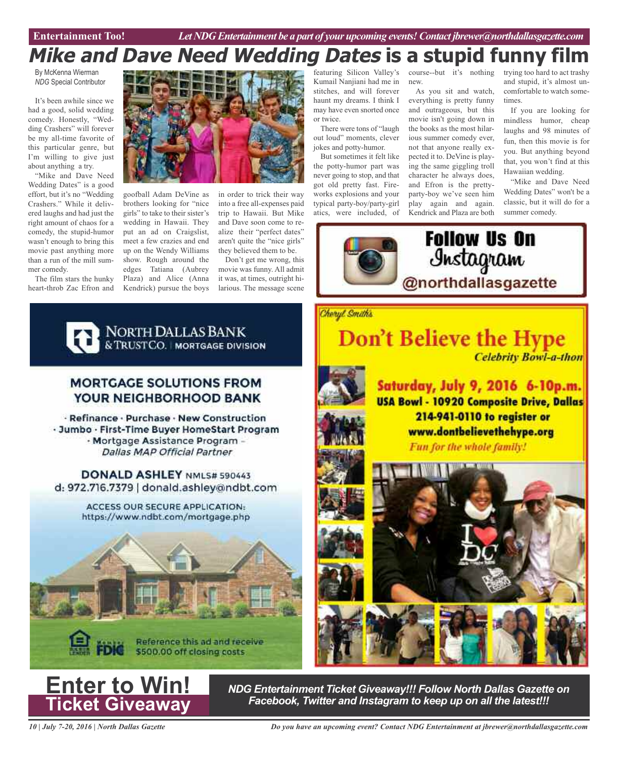## **Mike and Dave Need Wedding Dates is a stupid funny film**

By McKenna Wierman *NDG* Special Contributor

It's been awhile since we had a good, solid wedding comedy. Honestly, "Wedding Crashers" will forever be my all-time favorite of this particular genre, but I'm willing to give just about anything a try.

"Mike and Dave Need Wedding Dates" is a good effort, but it's no "Wedding Crashers." While it delivered laughs and had just the right amount of chaos for a comedy, the stupid-humor wasn't enough to bring this movie past anything more than a run of the mill summer comedy.

The film stars the hunky heart-throb Zac Efron and



goofball Adam DeVine as brothers looking for "nice girls" to take to their sister's wedding in Hawaii. They put an ad on Craigslist, meet a few crazies and end up on the Wendy Williams show. Rough around the edges Tatiana (Aubrey Plaza) and Alice (Anna Kendrick) pursue the boys

in order to trick their way into a free all-expenses paid trip to Hawaii. But Mike and Dave soon come to realize their "perfect dates" aren't quite the "nice girls" they believed them to be.

Don't get me wrong, this movie was funny. All admit it was, at times, outright hilarious. The message scene

featuring Silicon Valley's Kumail Nanjiani had me in stitches, and will forever haunt my dreams. I think I may have even snorted once or twice.

There were tons of "laugh out loud" moments, clever jokes and potty-humor.

But sometimes it felt like the potty-humor part was never going to stop, and that got old pretty fast. Fireworks explosions and your typical party-boy/party-girl atics, were included, of

course--but it's nothing new.

As you sit and watch, everything is pretty funny and outrageous, but this movie isn't going down in the books as the most hilarious summer comedy ever, not that anyone really expected it to. DeVine is playing the same giggling troll character he always does, and Efron is the prettyparty-boy we've seen him play again and again. Kendrick and Plaza are both trying too hard to act trashy and stupid, it's almost uncomfortable to watch sometimes.

If you are looking for mindless humor, cheap laughs and 98 minutes of fun, then this movie is for you. But anything beyond that, you won't find at this Hawaiian wedding.

"Mike and Dave Need Wedding Dates" won't be a classic, but it will do for a summer comedy.





### **MORTGAGE SOLUTIONS FROM** YOUR NEIGHBORHOOD BANK

· Refinance · Purchase · New Construction - Jumbo - First-Time Buyer HomeStart Program - Mortgage Assistance Program -**Dallas MAP Official Partner** 

DONALD ASHLEY NML5# 590443 d: 972.716.7379 | donald.ashley@ndbt.com

> ACCESS OUR SECURE APPLICATION: https://www.ndbt.com/mortgage.php





*10 | July 7-20, 2016 | North Dallas Gazette*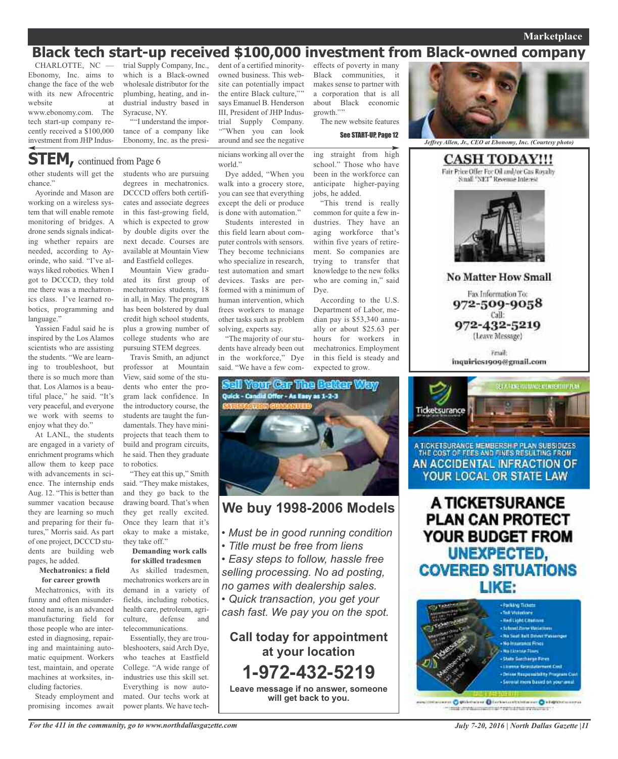### **Marketplace**

## **Black tech start-up received \$100,000 investment from Black-owned company**

CHARLOTTE, NC — Ebonomy, Inc. aims to change the face of the web with its new Afrocentric website at

www.ebonomy.com. The tech start-up company recently received a \$100,000 investment from JHP Industrial Supply Company, Inc., which is a Black-owned wholesale distributor for the plumbing, heating, and industrial industry based in Syracuse, NY.

"I understand the importance of a company like Ebonomy, Inc. as the presi-

**STEM,** continued from Page <sup>6</sup>

other students will get the chance."

Ayorinde and Mason are working on a wireless system that will enable remote monitoring of bridges. A drone sends signals indicating whether repairs are needed, according to Ayorinde, who said. "I've always liked robotics. When I got to DCCCD, they told me there was a mechatronics class. I've learned robotics, programming and language."

Yassien Fadul said he is inspired by the Los Alamos scientists who are assisting the students. "We are learning to troubleshoot, but there is so much more than that. Los Alamos is a beautiful place," he said. "It's very peaceful, and everyone we work with seems to enjoy what they do."

At LANL, the students are engaged in a variety of enrichment programs which allow them to keep pace with advancements in science. The internship ends Aug. 12. "This is better than summer vacation because they are learning so much and preparing for their futures," Morris said. As part of one project, DCCCD students are building web pages, he added.

### **Mechatronics: a field for career growth**

Mechatronics, with its funny and often misunderstood name, is an advanced manufacturing field for those people who are interested in diagnosing, repairing and maintaining automatic equipment. Workers test, maintain, and operate machines at worksites, including factories.

Steady employment and promising incomes await students who are pursuing degrees in mechatronics. DCCCD offers both certificates and associate degrees in this fast-growing field, which is expected to grow by double digits over the next decade. Courses are available at Mountain View and Eastfield colleges.

Mountain View graduated its first group of mechatronics students, 18 in all, in May. The program has been bolstered by dual credit high school students, plus a growing number of college students who are pursuing STEM degrees.

Travis Smith, an adjunct professor at Mountain View, said some of the students who enter the program lack confidence. In the introductory course, the students are taught the fundamentals. They have miniprojects that teach them to build and program circuits, he said. Then they graduate to robotics.

"They eat this up," Smith said. "They make mistakes, and they go back to the drawing board. That's when they get really excited. Once they learn that it's okay to make a mistake, they take off."

### **Demanding work calls for skilled tradesmen**

As skilled tradesmen, mechatronics workers are in demand in a variety of fields, including robotics, health care, petroleum, agriculture, defense and telecommunications.

Essentially, they are troubleshooters, said Arch Dye, who teaches at Eastfield College. "A wide range of industries use this skill set. Everything is now automated. Our techs work at power plants. We have techdent of a certified minorityowned business. This website can potentially impact the entire Black culture," says Emanuel B. Henderson III, President of JHP Industrial Supply Company. "When you can look around and see the negative

Dye added, "When you

except the deli or produce is done with automation." Students interested in this field learn about computer controls with sensors. They become technicians who specialize in research, test automation and smart devices. Tasks are performed with a minimum of human intervention, which frees workers to manage other tasks such as problem solving, experts say.

"The majority of our students have already been out in the workforce," Dye said. "We have a few com-

world."

effects of poverty in many Black communities, it makes sense to partner with a corporation that is all about Black economic growth."" The new website features

See START-UP, Page 12

nicians working all over the walk into a grocery store, you can see that everything ing straight from high school." Those who have been in the workforce can anticipate higher-paying jobs, he added.

"This trend is really common for quite a few industries. They have an aging workforce that's within five years of retirement. So companies are trying to transfer that knowledge to the new folks who are coming in," said Dye.

According to the U.S. Department of Labor, median pay is \$53,340 annually or about \$25.63 per hours for workers in mechatronics. Employment in this field is steady and expected to grow.



### **We buy 1998-2006 Models**

- *• Must be in good running condition*
- *• Title must be free from liens*
- *• Easy steps to follow, hassle free selling processing. No ad posting,*
- *no games with dealership sales.*

*• Quick transaction, you get your cash fast. We pay you on the spot.*

**Call today for appointment at your location 1-972-432-5219 Leave message if no answer, someone will get back to you.**



*Jeffrey Allen, Jr., CEO at Ebonomy, Inc. (Courtesy photo)*

**CASH TODAY!!!** Fair Price Offer For Oil and/or Gas Royalty Small "NET" Revenue Interest **No Matter How Small** 

Fax Information To: 972-509-9058 Call: 972-432-5219 (Leave Message)

**Email** inquiries1909@gmail.com



A TICKETSURANCE MEMBERSH P PLAN SUBSIDIZES THE COST OF FEES AND FINES RESULTING FROM AN ACCIDENTAL INFRACTION OF YOUR LOCAL OR STATE LAW

A TICKETSURANCE **PLAN CAN PROTECT** YOUR BUDGET FROM UNEXPECTED, **COVERED SITUATIONS** LIKE:



massing Optioneer Offertecommunic Oklamication mik invisionische Frenchen verworen

*July 7-20, 2016 | North Dallas Gazette |11*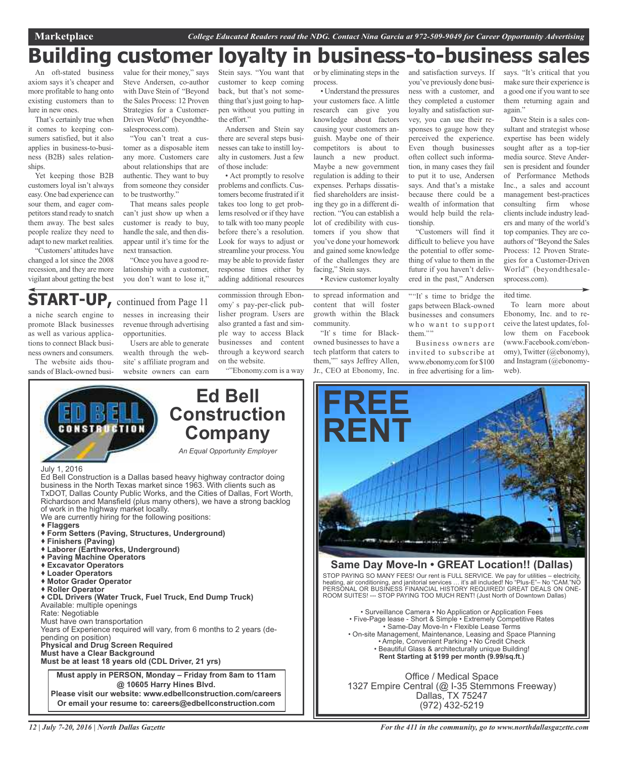Marketplace College Educated Readers read the NDG. Contact Nina Garcia at 972-509-9049 for Career Opportunity Advertising

## **Building customer loyalty in business-to-business sales**

An oft-stated business axiom says it's cheaper and more profitable to hang onto existing customers than to lure in new ones.

That's certainly true when it comes to keeping consumers satisfied, but it also applies in business-to-business (B2B) sales relationships.

Yet keeping those B2B customers loyal isn't always easy. One bad experience can sour them, and eager competitors stand ready to snatch them away. The best sales people realize they need to adapt to new market realities.

"Customers'attitudes have changed a lot since the 2008 recession, and they are more vigilant about getting the best

value for their money," says Steve Andersen, co-author with Dave Stein of "Beyond the Sales Process: 12 Proven Strategies for a Customer-Driven World" (beyondthesalesprocess.com).

"You can't treat a customer as a disposable item any more. Customers care about relationships that are authentic. They want to buy from someone they consider to be trustworthy."

That means sales people can't just show up when a customer is ready to buy, handle the sale, and then disappear until it's time for the next transaction.

"Once you have a good relationship with a customer, you don't want to lose it,"

Stein says. "You want that customer to keep coming back, but that's not something that's just going to happen without you putting in the effort."

Andersen and Stein say there are several steps businesses can take to instill loyalty in customers. Just a few of those include:

• Act promptly to resolve problems and conflicts. Customers become frustrated if it takes too long to get problems resolved or if they have to talk with too many people before there's a resolution. Look for ways to adjust or streamline your process.You may be able to provide faster response times either by adding additional resources

or by eliminating steps in the process.

• Understand the pressures your customers face. A little research can give you knowledge about factors causing your customers anguish. Maybe one of their competitors is about to launch a new product. Maybe a new government regulation is adding to their expenses. Perhaps dissatisfied shareholders are insisting they go in a different direction. "You can establish a lot of credibility with customers if you show that you've done your homework and gained some knowledge of the challenges they are facing," Stein says.

• Review customer loyalty

to spread information and content that will foster growth within the Black community. "It's time for Black-

owned businesses to have a tech platform that caters to them,"" says Jeffrey Allen, Jr., CEO at Ebonomy, Inc. you've previously done business with a customer, and they completed a customer loyalty and satisfaction survey, you can use their responses to gauge how they perceived the experience. Even though businesses often collect such information, in many cases they fail to put it to use, Andersen says. And that's a mistake because there could be a wealth of information that would help build the relationship.

and satisfaction surveys. If

"Customers will find it difficult to believe you have the potential to offer something of value to them in the future if you haven't delivered in the past," Andersen

""It's time to bridge the gaps between Black-owned businesses and consumers who want to support them."

Business owners are invited to subscribe at www.ebonomy.com for \$100 in free advertising for a lim-

says. "It's critical that you make sure their experience is a good one if you want to see them returning again and again."

Dave Stein is a sales consultant and strategist whose expertise has been widely sought after as a top-tier media source. Steve Andersen is president and founder of Performance Methods Inc., a sales and account management best-practices consulting firm whose clients include industry leaders and many of the world's top companies. They are coauthors of "Beyond the Sales Process: 12 Proven Strategies for a Customer-Driven World" (beyondthesalesprocess.com).

ited time.

To learn more about Ebonomy, Inc. and to receive the latest updates, follow them on Facebook (www.Facebook.com/ebonomy), Twitter (@ebonomy), and Instagram (@ebonomyweb).

## **START-UP,** continued from Page <sup>11</sup>

a niche search engine to promote Black businesses as well as various applications to connect Black business owners and consumers.

The website aids thousands of Black-owned busi-

nesses in increasing their revenue through advertising opportunities.

Users are able to generate wealth through the website's affiliate program and website owners can earn

commission through Ebonomy's pay-per-click publisher program. Users are also granted a fast and simple way to access Black businesses and content through a keyword search on the website.

"Ebonomy.com is a way



Ed Bell Construction is a Dallas based heavy highway contractor doing business in the North Texas market since 1963. With clients such as TxDOT, Dallas County Public Works, and the Cities of Dallas, Fort Worth, Richardson and Mansfield (plus many others), we have a strong backlog of work in the highway market locally.

- We are currently hiring for the following positions:
- **Flaggers**
- **Form Setters (Paving, Structures, Underground)**
- **Finishers (Paving)**
- **Laborer (Earthworks, Underground)**
- **Paving Machine Operators**
- **Excavator Operators**
- **Loader Operators**
- **Motor Grader Operator**
- **Roller Operator**

 **CDL Drivers (Water Truck, Fuel Truck, End Dump Truck)** Available: multiple openings Rate: Negotiable Must have own transportation Years of Experience required will vary, from 6 months to 2 years (depending on position) **Physical and Drug Screen Required Must have a Clear Background**

**Must be at least 18 years old (CDL Driver, 21 yrs)**

**Must apply in PERSON, Monday – Friday from 8am to 11am @ 10605 Harry Hines Blvd. Please visit our website: www.edbellconstruction.com/careers Or email your resume to: careers@edbellconstruction.com**



### **Same Day Move-In • GREAT Location!! (Dallas)**

STOP PAYING SO MANY FEES! Our rent is FULL SERVICE. We pay for utilities – electricity, heating, air conditioning, and janitorial services … it's all included! No "Plus-E"– No "CAM."NO PERSONAL OR BUSINESS FINANCIAL HISTORY REQUIRED! GREAT DEALS ON ONE-ROOM SUITES! --- STOP PAYING TOO MUCH RENT! (Just North of Downtown Dallas)

• Surveillance Camera • No Application or Application Fees • Five-Page lease - Short & Simple • Extremely Competitive Rates • Same-Day Move-In • Flexible Lease Terms • On-site Management, Maintenance, Leasing and Space Planning • Ample, Convenient Parking • No Credit Check • Beautiful Glass & architecturally unique Building! **Rent Starting at \$199 per month (9.99/sq.ft.)**

Office / Medical Space 1327 Empire Central (@ I-35 Stemmons Freeway) Dallas, TX 75247 (972) 432-5219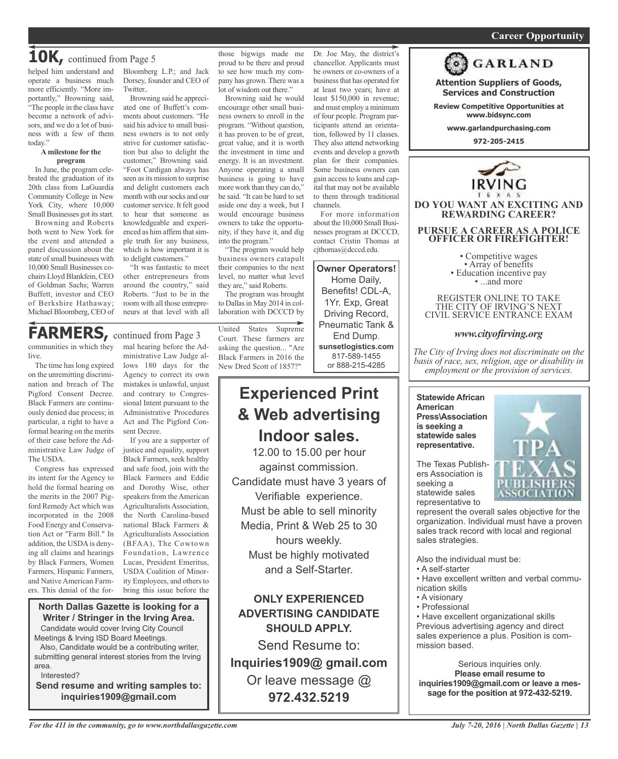### *On a quest for qualified candidates? Contact Nina Garcia at 972-509-9049* **Career Opportunity**

**Attention Suppliers of Goods, Services and Construction Review Competitive Opportunities at www.bidsync.com www.garlandpurchasing.com 972-205-2415**

**GARLAND** 

**DO YOU WANT AN EXCITING AND REWARDING CAREER?**

**PURSUE A CAREER AS A POLICE OFFICER OR FIREFIGHTER!**

• Competitive wages<br>• Array of benefits<br>• Education incentive pay<br>• ...and more

REGISTER ONLINE TO TAKE THE CITY OF IRVING'S NEXT CIVIL SERVICE ENTRANCE EXAM

*www.cityofirving.org*

*The City of Irving does not discriminate on the basis of race, sex, religion, age or disability in employment or the provision of services.*

## **10K,** continued from Page <sup>5</sup>

helped him understand and operate a business much more efficiently. "More importantly," Browning said, "The people in the class have become a network of advisors, and we do a lot of business with a few of them today."

#### **A milestone for the program**

In June, the program celebrated the graduation of its 20th class from LaGuardia Community College in New York City, where 10,000 Small Businesses got its start.

Browning and Roberts both went to New York for the event and attended a panel discussion about the state of small businesses with 10,000 Small Businesses cochairs Lloyd Blankfein, CEO of Goldman Sachs; Warren Buffett, investor and CEO of Berkshire Hathaway; Michael Bloomberg, CEO of Bloomberg L.P.; and Jack Dorsey, founder and CEO of Twitter..

Browning said he appreciated one of Buffett's comments about customers. "He said his advice to small business owners is to not only strive for customer satisfaction but also to delight the customer," Browning said. "Foot Cardigan always has seen as its mission to surprise and delight customers each month with our socks and our customer service. It felt good to hear that someone as knowledgeable and experienced as him affirm thatsimple truth for any business, which is how important it is to delight customers."

"It was fantastic to meet other entrepreneurs from around the country," said Roberts. "Just to be in the room with all those entrepreneurs at that level with all

those bigwigs made me proud to be there and proud to see how much my company has grown. There was a lot of wisdom out there."

Browning said he would encourage other small business owners to enroll in the program. "Without question, it has proven to be of great, great value, and it is worth the investment in time and energy. It is an investment. Anyone operating a small business is going to have more work than they can do," he said. "It can be hard to set aside one day a week, but I would encourage business owners to take the opportunity, if they have it, and dig into the program."

"The program would help business owners catapult their companies to the next level, no matter what level they are," said Roberts.

The program was brought to Dallas in May 2014 in collaboration with DCCCD by

## **FARMERS,** continued from Page <sup>3</sup>

communities in which they live.

The time has long expired on the unremitting discrimination and breach of The Pigford Consent Decree. Black Farmers are continuously denied due process; in particular, a right to have a formal hearing on the merits of their case before the Administrative Law Judge of The USDA.

Congress has expressed its intent for the Agency to hold the formal hearing on the merits in the 2007 Pigford Remedy Act which was incorporated in the 2008 Food Energy and Conservation Act or "Farm Bill." In addition, the USDA is denying all claims and hearings by Black Farmers, Women Farmers, Hispanic Farmers, and Native American Farmers. This denial of the formal hearing before the Administrative Law Judge allows 180 days for the Agency to correct its own mistakes is unlawful, unjust and contrary to Congressional Intent pursuant to the Administrative Procedures Act and The Pigford Consent Decree.

If you are a supporter of justice and equality, support Black Farmers, seek healthy and safe food, join with the Black Farmers and Eddie and Dorothy Wise, other speakers from the American Agriculturalists Association, the North Carolina-based national Black Farmers & Agriculturalists Association (BFAA), The Cowtown Foundation, Lawrence Lucas, President Emeritus, USDA Coalition of Minority Employees, and others to bring this issue before the

### **North Dallas Gazette is looking for a Writer / Stringer in the Irving Area.** Candidate would cover Irving City Council Meetings & Irving ISD Board Meetings.

Also, Candidate would be a contributing writer, submitting general interest stories from the Irving area.

Interested?

**Send resume and writing samples to: inquiries1909@gmail.com**

United States Supreme Court. These farmers are asking the question... "Are Black Farmers in 2016 the New Dred Scott of 1857?"

## **Experienced Print & Web advertising Indoor sales.**

12.00 to 15.00 per hour against commission. Candidate must have 3 years of Verifiable experience. Must be able to sell minority Media, Print & Web 25 to 30 hours weekly. Must be highly motivated and a Self-Starter.

**ONLY EXPERIENCED ADVERTISING CANDIDATE SHOULD APPLY.**

Send Resume to: **Inquiries1909@ gmail.com** Or leave message @ **972.432.5219**

Dr. Joe May, the district's chancellor. Applicants must be owners or co-owners of a business that has operated for at least two years; have at least \$150,000 in revenue; and must employ a minimum of four people. Program participants attend an orientation, followed by 11 classes. They also attend networking events and develop a growth plan for their companies. Some business owners can gain access to loans and capital that may not be available to them through traditional channels.

For more information about the 10,000 Small Businesses program at DCCCD, contact Cristin Thomas at cjthomas@dcccd.edu.

**Owner Operators!** Home Daily, Benefits! CDL-A, 1Yr. Exp, Great Driving Record, Pneumatic Tank & End Dump.

> **Statewide African American Press\Association is seeking a statewide sales representative.**

The Texas Publishers Association is seeking a statewide sales representative to



represent the overall sales objective for the organization. Individual must have a proven sales track record with local and regional sales strategies.

Also the individual must be:

- A self-starter
- Have excellent written and verbal communication skills
- A visionary
- Professional

• Have excellent organizational skills Previous advertising agency and direct sales experience a plus. Position is commission based.

Serious inquiries only. **Please email resume to inquiries1909@gmail.com or leave a message for the position at 972-432-5219.**

**sunsetlogistics.com** 817-589-1455 or 888-215-4285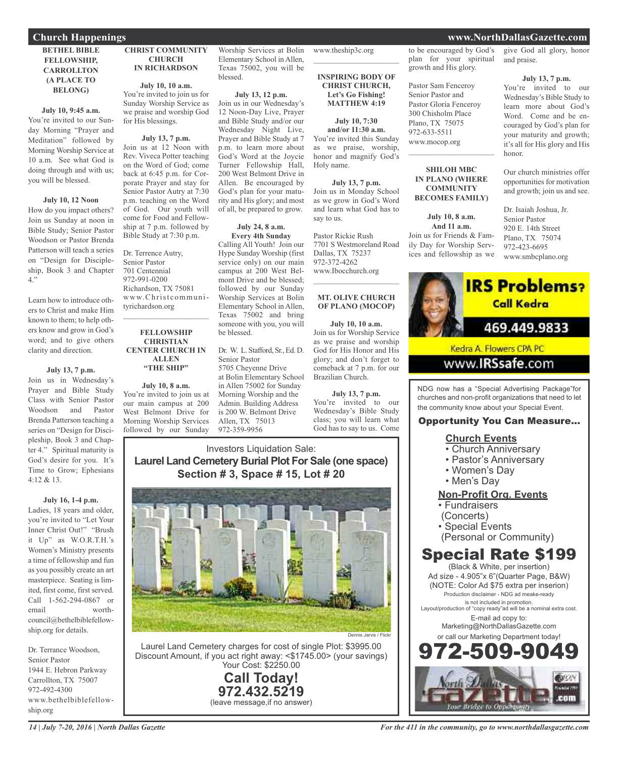### **BETHEL BIBLE FELLOWSHIP, CARROLLTON (A PLACE TO BELONG)**

### **July 10, 9:45 a.m.**

You're invited to our Sunday Morning "Prayer and Meditation" followed by Morning Worship Service at 10 a.m. See what God is doing through and with us; you will be blessed.

### **July 10, 12 Noon**

How do you impact others? Join us Sunday at noon in Bible Study; Senior Pastor Woodson or Pastor Brenda Patterson will teach a series on "Design for Discipleship, Book 3 and Chapter 4."

Learn how to introduce others to Christ and make Him known to them; to help others know and grow in God's word; and to give others clarity and direction.

### **July 13, 7 p.m.**

Join us in Wednesday's Prayer and Bible Study Class with Senior Pastor Woodson and Pastor Brenda Patterson teaching a series on "Design for Discipleship, Book 3 and Chapter 4." Spiritual maturity is God's desire for you. It's Time to Grow; Ephesians 4:12 & 13.

### **July 16, 1-4 p.m.**

Ladies, 18 years and older, you're invited to "Let Your Inner Christ Out!" "Brush it Up" as W.O.R.T.H.'s Women's Ministry presents a time of fellowship and fun as you possibly create an art masterpiece. Seating is limited, first come, first served. Call 1-562-294-0867 or email worthcouncil@bethelbiblefellowship.org for details.

Dr. Terrance Woodson, Senior Pastor 1944 E. Hebron Parkway Carrollton, TX 75007 972-492-4300 www.bethelbiblefellowship.org

### **CHRIST COMMUNITY CHURCH IN RICHARDSON**

**July 10, 10 a.m.** You're invited to join us for Sunday Worship Service as we praise and worship God for His blessings.

### **July 13, 7 p.m.**

Join us at 12 Noon with Rev. Viveca Potter teaching on the Word of God; come back at 6:45 p.m. for Corporate Prayer and stay for Senior Pastor Autry at 7:30 p.m. teaching on the Word of God. Our youth will come for Food and Fellowship at 7 p.m. followed by Bible Study at 7:30 p.m.

Dr. Terrence Autry, Senior Pastor 701 Centennial 972-991-0200 Richardson, TX 75081 www.Christcommunityrichardson.org  $\mathcal{L}_\text{max}$  and  $\mathcal{L}_\text{max}$  and  $\mathcal{L}_\text{max}$ 

### **FELLOWSHIP CHRISTIAN CENTER CHURCH IN ALLEN "THE SHIP"**

**July 10, 8 a.m.** You're invited to join us at our main campus at 200 West Belmont Drive for Morning Worship Services followed by our Sunday

Worship Services at Bolin Elementary School in Allen, Texas 75002, you will be blessed.

### **July 13, 12 p.m.**

Join us in our Wednesday's 12 Noon-Day Live, Prayer and Bible Study and/or our Wednesday Night Live, Prayer and Bible Study at 7 p.m. to learn more about God's Word at the Joycie Turner Fellowship Hall, 200 West Belmont Drive in Allen. Be encouraged by God's plan for your maturity and His glory; and most of all, be prepared to grow.

#### **July 24, 8 a.m. Every 4th Sunday**

Calling All Youth! Join our Hype Sunday Worship (first service only) on our main campus at 200 West Belmont Drive and be blessed; followed by our Sunday Worship Services at Bolin Elementary School in Allen, Texas 75002 and bring someone with you, you will be blessed.

### Dr. W. L. Stafford, Sr., Ed. D. Senior Pastor

5705 Cheyenne Drive at Bolin Elementary School in Allen 75002 for Sunday Morning Worship and the Admin. Building Address is 200 W. Belmont Drive Allen, TX 75013 972-359-9956

www.theship3c.org  $\mathcal{L}$  , and the set of the set of the set of the set of the set of the set of the set of the set of the set of the set of the set of the set of the set of the set of the set of the set of the set of the set of the set

#### **INSPIRING BODY OF CHRIST CHURCH, Let's Go Fishing! MATTHEW 4:19**

**July 10, 7:30 and/or 11:30 a.m.** You're invited this Sunday as we praise, worship, honor and magnify God's Holy name.

**July 13, 7 p.m.** Join us in Monday School as we grow in God's Word and learn what God has to say to us.

Pastor Rickie Rush 7701 S Westmoreland Road Dallas, TX 75237 972-372-4262 www.Ibocchurch.org  $\mathcal{L}=\mathcal{L}^{\mathcal{L}}$  , where  $\mathcal{L}^{\mathcal{L}}$  , we have the set of the set of the set of the set of the set of the set of the set of the set of the set of the set of the set of the set of the set of the set of the set of

### **MT. OLIVE CHURCH OF PLANO (MOCOP)**

**July 10, 10 a.m.** Join us for Worship Service as we praise and worship God for His Honor and His glory; and don't forget to comeback at 7 p.m. for our Brazilian Church.

**July 13, 7 p.m.** You're invited to our Wednesday's Bible Study class; you will learn what God has to say to us. Come

### Investors Liquidation Sale: **Laurel Land Cemetery Burial Plot For Sale (one space) Section # 3, Space # 15, Lot # 20**



Laurel Land Cemetery charges for cost of single Plot: \$3995.00 Discount Amount, if you act right away: <\$1745.00> (your savings) Your Cost: \$2250.00

> **Call Today! 972.432.5219** (leave message,if no answer)

to be encouraged by God's plan for your spiritual growth and His glory.

Pastor Sam Fenceroy Senior Pastor and Pastor Gloria Fenceroy 300 Chisholm Place Plano, TX 75075 972-633-5511 www.mocop.org

### **SHILOH MBC IN PLANO (WHERE COMMUNITY BECOMES FAMILY)**

 $\mathcal{L}_\text{max}$  , which is a set of the set of the set of the set of the set of the set of the set of the set of the set of the set of the set of the set of the set of the set of the set of the set of the set of the set of

**July 10, 8 a.m. And 11 a.m.** Join us for Friends & Family Day for Worship Services and fellowship as we

give God all glory, honor and praise.

### **July 13, 7 p.m.**

You're invited to our Wednesday's Bible Study to learn more about God's Word. Come and be encouraged by God's plan for your maturity and growth; it's all for His glory and His honor.

Our church ministries offer opportunities for motivation and growth; join us and see.

Dr. Isaiah Joshua, Jr. Senior Pastor 920 E. 14th Street Plano, TX 75074 972-423-6695 www.smbcplano.org



www.**IRSsafe.com** 

NDG now has a "Special Advertising Package"for churches and non-profit organizations that need to let the community know about your Special Event.

### Opportunity You Can Measure...

### **Church Events**

- Church Anniversary
- Pastor's Anniversary
- Women's Day
- Men's Day

### **Non-Profit Org. Events**

- Fundraisers
- (Concerts)
- Special Events
- (Personal or Community)

## Special Rate \$199

(Black & White, per insertion) Ad size - 4.905"x 6"(Quarter Page, B&W) (NOTE: Color Ad \$75 extra per inserion) Production disclaimer - NDG ad meake-ready is not included in promotion. Layout/production of "copy ready"ad will be a nominal extra cost. E-mail ad copy to: Marketing@NorthDallasGazette.com or call our Marketing Department today! 972-509-9049

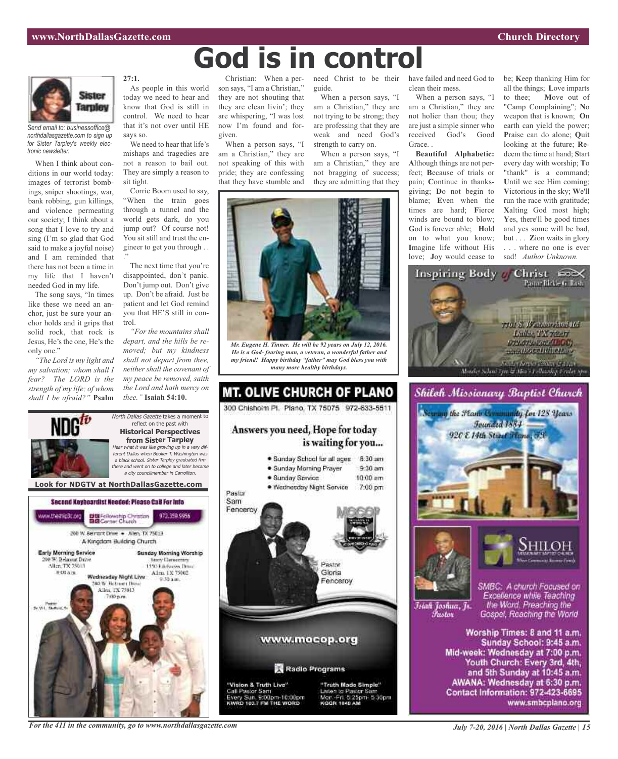

*Send email to: businessoffice@ northdallasgazette.com to sign up for Sister Tarpley's weekly electronic newsletter.*

When I think about conditions in our world today: images of terrorist bombings, sniper shootings, war, bank robbing, gun killings, and violence permeating our society; I think about a song that I love to try and sing (I'm so glad that God said to make a joyful noise) and I am reminded that there has not been a time in my life that I haven't needed God in my life.

The song says, "In times like these we need an anchor, just be sure your anchor holds and it grips that solid rock, that rock is Jesus, He's the one, He's the only one."

*"The Lord is my light and my salvation; whom shall I fear? The LORD is the strength of my life; of whom shall I be afraid?"* **Psalm** **27:1.**

As people in this world today we need to hear and know that God is still in control. We need to hear that it's not over until HE says so.

We need to hear that life's mishaps and tragedies are not a reason to bail out. They are simply a reason to sit tight.

Corrie Boom used to say, "When the train goes through a tunnel and the world gets dark, do you jump out? Of course not! You sit still and trust the engineer to get you through . . ."

The next time that you're disappointed, don't panic. Don't jump out. Don't give up. Don't be afraid. Just be patient and let God remind you that HE'S still in control.

*"For the mountains shall depart, and the hills be removed; but my kindness shall not depart from thee, neither shall the covenant of my peace be removed, saith the Lord and hath mercy on thee."* **Isaiah 54:10.**

North Dallas Gazette takes a moment to reflect on the past with **Historical Perspectives**

Christian: When a person says, "I am a Christian," they are not shouting that they are clean livin'; they are whispering, "I was lost now I'm found and forgiven.

When a person says, "I am a Christian," they are not speaking of this with pride; they are confessing that they have stumble and

need Christ to be their guide.

When a person says, "I am a Christian," they are not trying to be strong; they are professing that they are weak and need God's strength to carry on.

When a person says, "I am a Christian," they are not bragging of success; they are admitting that they



**God is in control**

*Mr. Eugene H. Tinner. He will be 92 years on July 12, 2016. He is a God- fearing man, a veteran, a wonderful father and my friend! Happy birthday "father" may God bless you with many more healthy birthdays.*



have failed and need God to clean their mess.

When a person says, "I am a Christian," they are not holier than thou; they are just a simple sinner who received God's Good Grace. .

**Beautiful Alphabetic: A**lthough things are not perfect; **B**ecause of trials or pain; **C**ontinue in thanksgiving; **D**o not begin to blame; **E**ven when the times are hard; **F**ierce winds are bound to blow; **G**od is forever able; **H**old on to what you know; **I**magine life without His love; **J**oy would cease to be; **K**eep thanking Him for all the things; **L**ove imparts to thee; **M**ove out of "Camp Complaining"; **N**o weapon that is known; **O**n earth can yield the power; **P**raise can do alone; **Q**uit looking at the future; **R**edeem the time at hand; **S**tart every day with worship; **T**o "thank" is a command; Until we see Him coming; **V**ictorious in the sky; **W**e'll run the race with gratitude; **X**alting God most high; **Y**es, there'll be good times and yes some will be bad, but . . . **Z**ion waits in glory . . . where no one is ever sad! *Author Unknown.*







*Tustov* 



SMBC: A church Focused on Īsiah Joshua, Jr.

Excellence while Teaching the Word. Preaching the Gospel, Reaching the World

Worship Times: 8 and 11 a.m. Sunday School: 9:45 a.m. Mid-week: Wednesday at 7:00 p.m. Youth Church: Every 3rd, 4th, and 5th Sunday at 10:45 a.m. AWANA: Wednesday at 6:30 p.m. Contact Information: 972-423-6695 www.smbcplano.org

**from Sister Tarpley** Hear what it was like growing up in <sup>a</sup> very different Dallas when Booker T. Washington was <sup>a</sup> black school. Sister Tarpley graduated frm there and went on to college and later became <sup>a</sup> city councilmember in Carrollton. **Look for NDGTV at NorthDallasGazette.com**Second Keyboardist Needed: Please CaB For Info DE Fellowship Christian<br>BIB Center Church ww.theship3c.org 972.359.9956 200 W. Bernsht Drive . - Allen, TX 75013 A Kingdom Building Church **Early Morning Service** Sunday Morning Worship 0 W. Belmunt Drive **Nory Demectors** Alice TX 75013 1450 Ethnologies Drug- $0.004m$ Allen, 1X 75002 Wadnasday Night Live **DO W. Retroem Days** Allen, TX 75013 Tv. Wit., Theft

*For the 411 in the community, go to www.northdallasgazette.com*